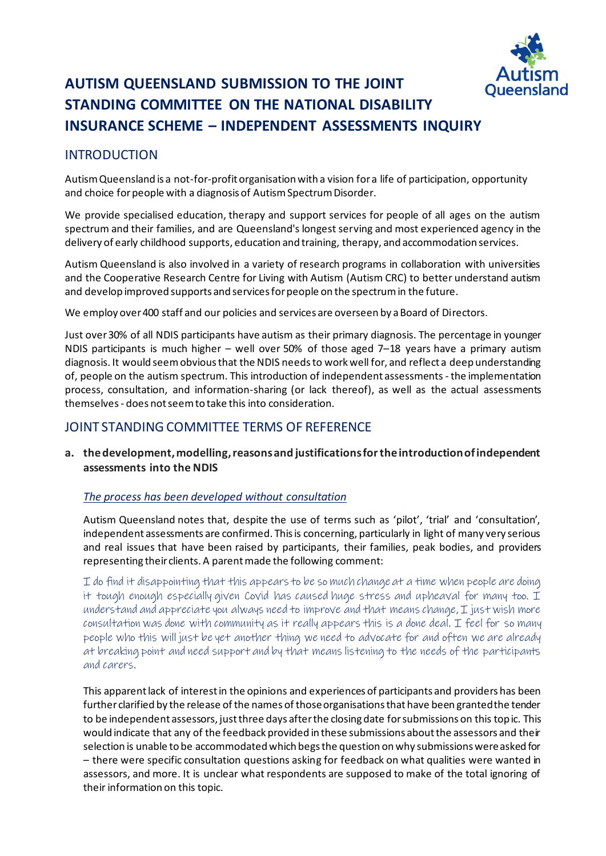

# **AUTISM QUEENSLAND SUBMISSION TO THE JOINT STANDING COMMITTEE ON THE NATIONAL DISABILITY INSURANCE SCHEME – INDEPENDENT ASSESSMENTS INQUIRY**

# INTRODUCTION

Autism Queensland is a not-for-profit organisation with a vision for a life of participation, opportunity and choice for people with a diagnosis of Autism Spectrum Disorder.

We provide specialised education, therapy and support services for people of all ages on the autism spectrum and their families, and are Queensland's longest serving and most experienced agency in the delivery of early childhood supports, education and training, therapy, and accommodation services.

Autism Queensland is also involved in a variety of research programs in collaboration with universities and the Cooperative Research Centre for Living with Autism (Autism CRC) to better understand autism and develop improved supports and services for people on the spectrum in the future.

We employ over 400 staff and our policies and services are overseen by a Board of Directors.

Just over 30% of all NDIS participants have autism as their primary diagnosis. The percentage in younger NDIS participants is much higher – well over 50% of those aged 7–18 years have a primary autism diagnosis. It would seem obvious that the NDIS needs to work well for, and reflect a deep understanding of, people on the autism spectrum. This introduction of independent assessments -the implementation process, consultation, and information-sharing (or lack thereof), as well as the actual assessments themselves - does not seem to take this into consideration.

# JOINT STANDING COMMITTEE TERMS OF REFERENCE

**a. the development, modelling, reasons and justifications for the introduction of independent assessments into the NDIS**

#### *The process has been developed without consultation*

Autism Queensland notes that, despite the use of terms such as 'pilot', 'trial' and 'consultation', independent assessments are confirmed. This is concerning, particularly in light of many very serious and real issues that have been raised by participants, their families, peak bodies, and providers representing their clients. A parent made the following comment:

I do find it disappointing that this appears to be so much change at a time when people are doing it tough enough especially given Covid has caused huge stress and upheaval for many too. I understand and appreciate you always need to improve and that means change,  $I$  just wish more consultation was done with community as it really appears this is a done deal. I feel for so many people who this will just be yet another thing we need to advocate for and often we are already at breaking point and need support and by that means listening to the needs of the participants and carers.

This apparent lack of interest in the opinions and experiences of participants and providers has been further clarified by the release of the names of those organisations that have been granted the tender to be independent assessors, just three days after the closing date for submissions on this topic. This would indicate that any of the feedback provided in these submissions about the assessors and their selection is unable to be accommodated which begs the question on why submissions were asked for – there were specific consultation questions asking for feedback on what qualities were wanted in assessors, and more. It is unclear what respondents are supposed to make of the total ignoring of their information on this topic.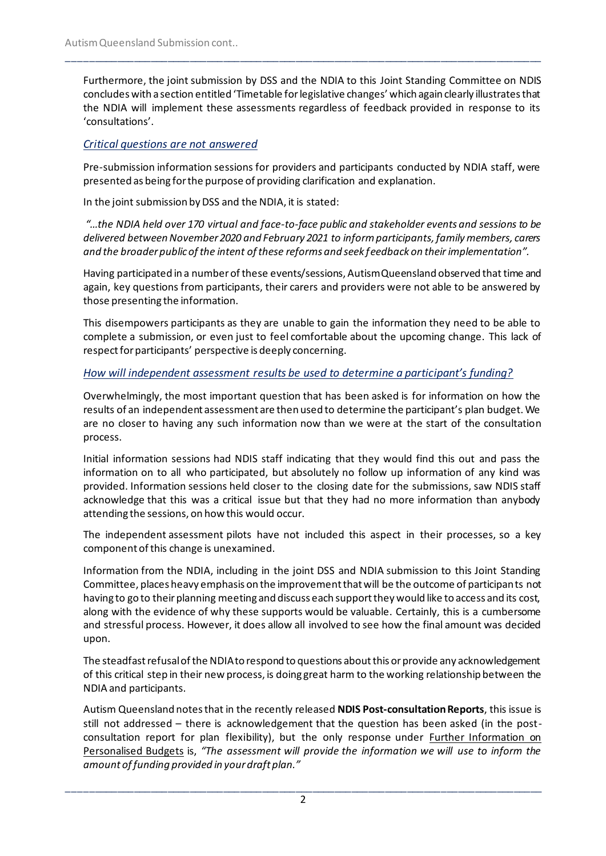Furthermore, the joint submission by DSS and the NDIA to this Joint Standing Committee on NDIS concludes with a section entitled 'Timetable for legislative changes' which again clearly illustrates that the NDIA will implement these assessments regardless of feedback provided in response to its 'consultations'.

\_\_\_\_\_\_\_\_\_\_\_\_\_\_\_\_\_\_\_\_\_\_\_\_\_\_\_\_\_\_\_\_\_\_\_\_\_\_\_\_\_\_\_\_\_\_\_\_\_\_\_\_\_\_\_\_\_\_\_\_\_\_\_\_\_\_\_\_\_\_\_\_\_\_\_\_\_\_\_\_\_\_\_\_\_

#### *Critical questions are not answered*

Pre-submission information sessions for providers and participants conducted by NDIA staff, were presented as being for the purpose of providing clarification and explanation.

In the joint submission by DSS and the NDIA, it is stated:

*"…the NDIA held over 170 virtual and face-to-face public and stakeholder events and sessions to be delivered between November 2020 and February 2021 to inform participants, family members, carers and the broader public of the intent of these reforms and seek feedback on their implementation".*

Having participated in a number of these events/sessions, Autism Queensland observed that time and again, key questions from participants, their carers and providers were not able to be answered by those presenting the information.

This disempowers participants as they are unable to gain the information they need to be able to complete a submission, or even just to feel comfortable about the upcoming change. This lack of respect for participants' perspective is deeply concerning.

#### *How will independent assessment results be used to determine a participant's funding?*

Overwhelmingly, the most important question that has been asked is for information on how the results of an independent assessment are then used to determine the participant's plan budget. We are no closer to having any such information now than we were at the start of the consultation process.

Initial information sessions had NDIS staff indicating that they would find this out and pass the information on to all who participated, but absolutely no follow up information of any kind was provided. Information sessions held closer to the closing date for the submissions, saw NDIS staff acknowledge that this was a critical issue but that they had no more information than anybody attending the sessions, on how this would occur.

The independent assessment pilots have not included this aspect in their processes, so a key component of this change is unexamined.

Information from the NDIA, including in the joint DSS and NDIA submission to this Joint Standing Committee, places heavy emphasis on the improvement that will be the outcome of participants not having to go to their planning meeting and discuss each support they would like to access and its cost, along with the evidence of why these supports would be valuable. Certainly, this is a cumbersome and stressful process. However, it does allow all involved to see how the final amount was decided upon.

The steadfast refusal of the NDIA to respond to questions about this or provide any acknowledgement of this critical step in their new process, is doing great harm to the working relationship between the NDIA and participants.

Autism Queensland notes that in the recently released **NDIS Post-consultation Reports**, this issue is still not addressed – there is acknowledgement that the question has been asked (in the postconsultation report for plan flexibility), but the only response under Further Information on Personalised Budgets is, *"The assessment will provide the information we will use to inform the amount of funding provided in your draft plan."*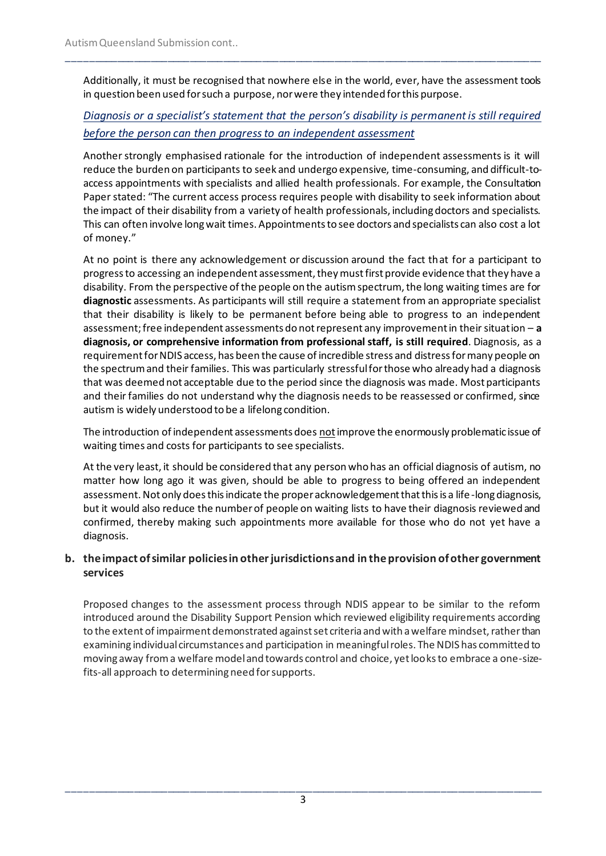Additionally, it must be recognised that nowhere else in the world, ever, have the assessment tools in question been used for such a purpose, nor were they intended for this purpose.

\_\_\_\_\_\_\_\_\_\_\_\_\_\_\_\_\_\_\_\_\_\_\_\_\_\_\_\_\_\_\_\_\_\_\_\_\_\_\_\_\_\_\_\_\_\_\_\_\_\_\_\_\_\_\_\_\_\_\_\_\_\_\_\_\_\_\_\_\_\_\_\_\_\_\_\_\_\_\_\_\_\_\_\_\_

# *Diagnosis or a specialist's statement that the person's disability is permanent is still required before the person can then progress to an independent assessment*

Another strongly emphasised rationale for the introduction of independent assessments is it will reduce the burden on participants to seek and undergo expensive, time-consuming, and difficult-toaccess appointments with specialists and allied health professionals. For example, the Consultation Paper stated: "The current access process requires people with disability to seek information about the impact of their disability from a variety of health professionals, including doctors and specialists. This can often involve long wait times. Appointments to see doctors and specialists can also cost a lot of money."

At no point is there any acknowledgement or discussion around the fact that for a participant to progress to accessing an independent assessment, they must first provide evidence that they have a disability. From the perspective of the people on the autism spectrum, the long waiting times are for **diagnostic** assessments. As participants will still require a statement from an appropriate specialist that their disability is likely to be permanent before being able to progress to an independent assessment; free independent assessments do not represent any improvement in their situation – **a diagnosis, or comprehensive information from professional staff, is still required**. Diagnosis, as a requirement for NDIS access, has been the cause of incredible stress and distress for many people on the spectrum and their families. This was particularly stressful for those who already had a diagnosis that was deemed not acceptable due to the period since the diagnosis was made. Most participants and their families do not understand why the diagnosis needs to be reassessed or confirmed, since autism is widely understood to be a lifelong condition.

The introduction of independent assessments does notimprove the enormously problematic issue of waiting times and costs for participants to see specialists.

At the very least, it should be considered that any person who has an official diagnosis of autism, no matter how long ago it was given, should be able to progress to being offered an independent assessment. Not only does this indicate the proper acknowledgement that this is a life-long diagnosis, but it would also reduce the number of people on waiting lists to have their diagnosis reviewed and confirmed, thereby making such appointments more available for those who do not yet have a diagnosis.

# **b. the impact of similar policies in other jurisdictions and in the provision of other government services**

Proposed changes to the assessment process through NDIS appear to be similar to the reform introduced around the Disability Support Pension which reviewed eligibility requirements according to the extent of impairment demonstrated against set criteria and with a welfare mindset, rather than examining individual circumstances and participation in meaningful roles. The NDIS has committed to moving away from a welfare model and towards control and choice, yet looks to embrace a one-sizefits-all approach to determining need for supports.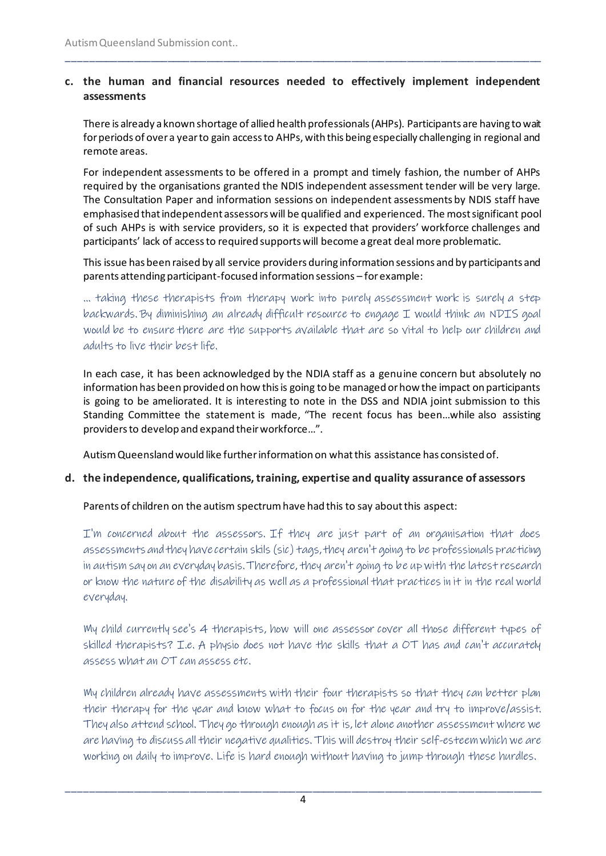#### **c. the human and financial resources needed to effectively implement independent assessments**

\_\_\_\_\_\_\_\_\_\_\_\_\_\_\_\_\_\_\_\_\_\_\_\_\_\_\_\_\_\_\_\_\_\_\_\_\_\_\_\_\_\_\_\_\_\_\_\_\_\_\_\_\_\_\_\_\_\_\_\_\_\_\_\_\_\_\_\_\_\_\_\_\_\_\_\_\_\_\_\_\_\_\_\_\_

There is already a known shortage of allied health professionals (AHPs). Participants are having to wait for periods of over a year to gain access to AHPs, with this being especially challenging in regional and remote areas.

For independent assessments to be offered in a prompt and timely fashion, the number of AHPs required by the organisations granted the NDIS independent assessment tender will be very large. The Consultation Paper and information sessions on independent assessments by NDIS staff have emphasised that independent assessors will be qualified and experienced. The most significant pool of such AHPs is with service providers, so it is expected that providers' workforce challenges and participants' lack of access to required supports will become a great deal more problematic.

This issue has been raised by all service providers during information sessions and by participants and parents attending participant-focused information sessions – for example:

… taking these therapists from therapy work into purely assessment work is surely a step backwards. By diminishing an already difficult resource to engage I would think an NDIS goal would be to ensure there are the supports available that are so vital to help our children and adults to live their best life.

In each case, it has been acknowledged by the NDIA staff as a genuine concern but absolutely no information has been provided on how this is going to be managed or how the impact on participants is going to be ameliorated. It is interesting to note in the DSS and NDIA joint submission to this Standing Committee the statement is made, "The recent focus has been…while also assisting providers to develop and expand their workforce…".

Autism Queensland would like further information on what this assistance has consisted of.

#### **d. the independence, qualifications, training, expertise and quality assurance of assessors**

#### Parents of children on the autism spectrum have had this to say about this aspect:

I'm concerned about the assessors. If they are just part of an organisation that does assessments and they have certain skils (sic) tags, they aren't going to be professionals practicing in autism say on an everyday basis. Therefore, they aren't going to be up with the latest research or know the nature of the disability as well as a professional that practices in it in the real world everyday.

My child currently see's 4 therapists, how will one assessor cover all those different types of skilled therapists? I.e. A physio does not have the skills that a OT has and can't accurately assess what an OT can assess etc.

My children already have assessments with their four therapists so that they can better plan their therapy for the year and know what to focus on for the year and try to improve/assist. They also attend school. They go through enough as it is, let alone another assessment where we are having to discuss all their negative qualities. This will destroy their self-esteem which we are working on daily to improve. Life is hard enough without having to jump through these hurdles.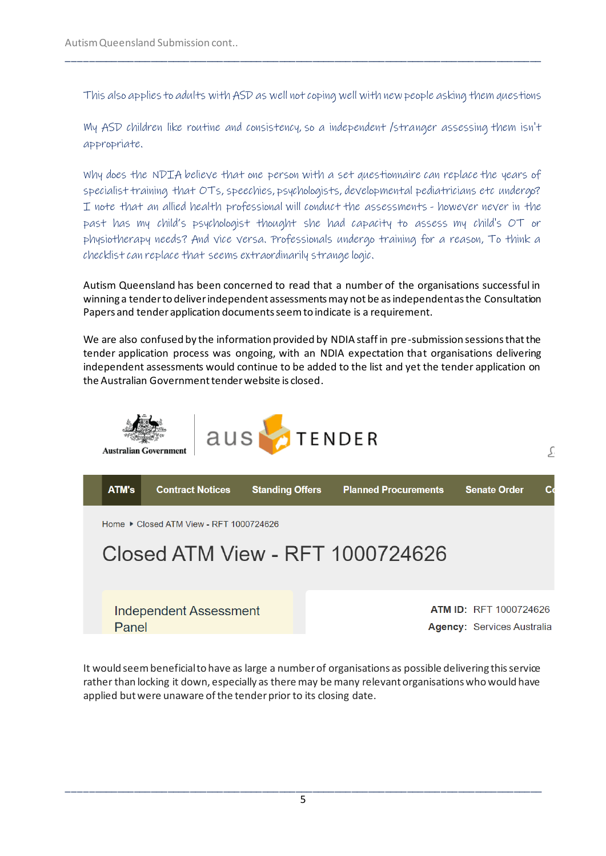This also applies to adults with ASD as well not coping well with new people asking them questions

\_\_\_\_\_\_\_\_\_\_\_\_\_\_\_\_\_\_\_\_\_\_\_\_\_\_\_\_\_\_\_\_\_\_\_\_\_\_\_\_\_\_\_\_\_\_\_\_\_\_\_\_\_\_\_\_\_\_\_\_\_\_\_\_\_\_\_\_\_\_\_\_\_\_\_\_\_\_\_\_\_\_\_\_\_

My ASD children like routine and consistency, so a independent /stranger assessing them isn't appropriate.

Why does the NDIA believe that one person with a set questionnaire can replace the years of specialist training that OTs, speechies, psychologists, developmental pediatricians etc undergo? I note that an allied health professional will conduct the assessments - however never in the past has my child's psychologist thought she had capacity to assess my child's OT or physiotherapy needs? And vice versa. Professionals undergo training for a reason, To think a checklist can replace that seems extraordinarily strange logic.

Autism Queensland has been concerned to read that a number of the organisations successful in winning a tender to deliver independent assessments may not be as independent as the Consultation Papers and tender application documents seem to indicate is a requirement.

We are also confused by the information provided by NDIA staff in pre-submission sessions that the tender application process was ongoing, with an NDIA expectation that organisations delivering independent assessments would continue to be added to the list and yet the tender application on the Australian Government tender website is closed.



It would seem beneficial to have as large a number of organisations as possible delivering this service rather than locking it down, especially as there may be many relevant organisations who would have applied but were unaware of the tender prior to its closing date.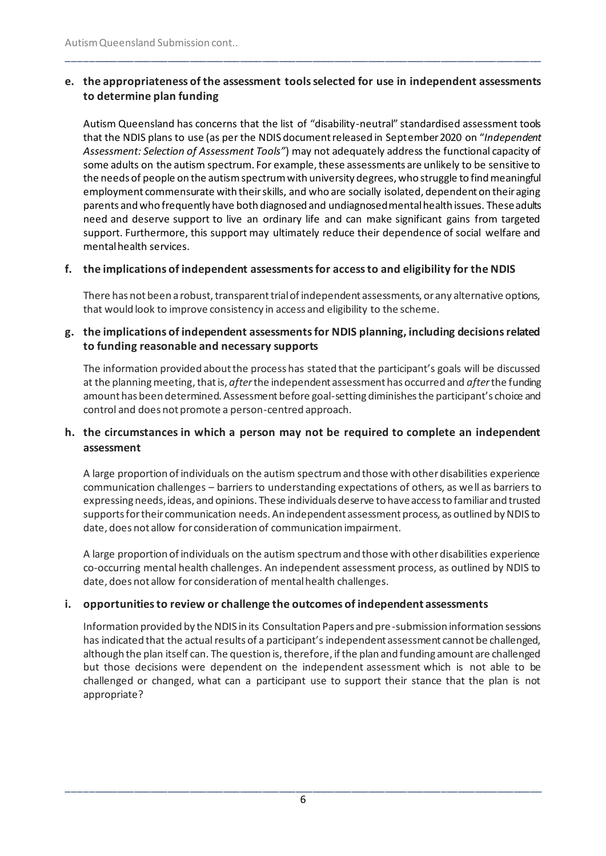# **e. the appropriateness of the assessment tools selected for use in independent assessments to determine plan funding**

\_\_\_\_\_\_\_\_\_\_\_\_\_\_\_\_\_\_\_\_\_\_\_\_\_\_\_\_\_\_\_\_\_\_\_\_\_\_\_\_\_\_\_\_\_\_\_\_\_\_\_\_\_\_\_\_\_\_\_\_\_\_\_\_\_\_\_\_\_\_\_\_\_\_\_\_\_\_\_\_\_\_\_\_\_

Autism Queensland has concerns that the list of "disability-neutral" standardised assessment tools that the NDIS plans to use (as per the NDIS document released in September 2020 on "*Independent Assessment: Selection of Assessment Tools"*) may not adequately address the functional capacity of some adults on the autism spectrum. For example, these assessments are unlikely to be sensitive to the needs of people on the autism spectrum with university degrees, who struggle to find meaningful employment commensurate with their skills, and who are socially isolated, dependent on their aging parents and who frequently have both diagnosed and undiagnosed mental health issues. These adults need and deserve support to live an ordinary life and can make significant gains from targeted support. Furthermore, this support may ultimately reduce their dependence of social welfare and mental health services.

# **f. the implications of independent assessments for access to and eligibility for the NDIS**

There has not been a robust, transparent trial of independent assessments, or any alternative options, that would look to improve consistency in access and eligibility to the scheme.

# **g. the implications of independent assessments for NDIS planning, including decisions related to funding reasonable and necessary supports**

The information provided about the process has stated that the participant's goals will be discussed at the planning meeting, that is, *after*the independent assessment has occurred and *after*the funding amount has been determined. Assessment before goal-setting diminishes the participant's choice and control and does not promote a person-centred approach.

# **h. the circumstances in which a person may not be required to complete an independent assessment**

A large proportion of individuals on the autism spectrum and those with other disabilities experience communication challenges – barriers to understanding expectations of others, as well as barriers to expressing needs, ideas, and opinions. These individuals deserve to have access to familiar and trusted supports for their communication needs. An independent assessment process, as outlined by NDIS to date, does not allow for consideration of communication impairment.

A large proportion of individuals on the autism spectrum and those with other disabilities experience co-occurring mental health challenges. An independent assessment process, as outlined by NDIS to date, does not allow for consideration of mental health challenges.

#### **i. opportunities to review or challenge the outcomes of independent assessments**

Information provided by the NDIS in its Consultation Papers and pre-submission information sessions has indicated that the actual results of a participant's independent assessment cannot be challenged, although the plan itself can. The question is, therefore, if the plan and funding amount are challenged but those decisions were dependent on the independent assessment which is not able to be challenged or changed, what can a participant use to support their stance that the plan is not appropriate?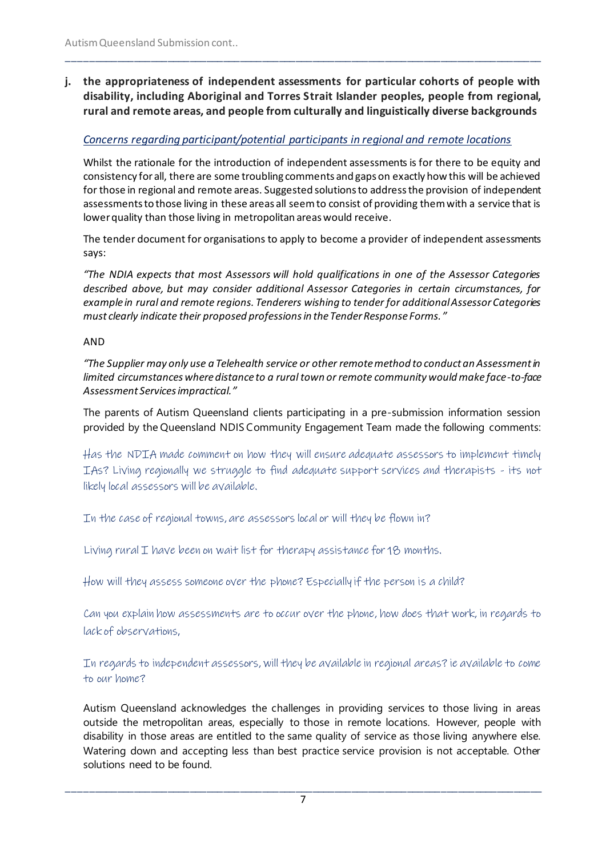**j. the appropriateness of independent assessments for particular cohorts of people with disability, including Aboriginal and Torres Strait Islander peoples, people from regional, rural and remote areas, and people from culturally and linguistically diverse backgrounds**

\_\_\_\_\_\_\_\_\_\_\_\_\_\_\_\_\_\_\_\_\_\_\_\_\_\_\_\_\_\_\_\_\_\_\_\_\_\_\_\_\_\_\_\_\_\_\_\_\_\_\_\_\_\_\_\_\_\_\_\_\_\_\_\_\_\_\_\_\_\_\_\_\_\_\_\_\_\_\_\_\_\_\_\_\_

# *Concerns regarding participant/potential participants in regional and remote locations*

Whilst the rationale for the introduction of independent assessments is for there to be equity and consistency for all, there are some troubling comments and gaps on exactly how this will be achieved for those in regional and remote areas. Suggested solutions to address the provision of independent assessments to those living in these areas all seem to consist of providing them with a service that is lower quality than those living in metropolitan areas would receive.

The tender document for organisations to apply to become a provider of independent assessments says:

*"The NDIA expects that most Assessors will hold qualifications in one of the Assessor Categories described above, but may consider additional Assessor Categories in certain circumstances, for example in rural and remote regions. Tenderers wishing to tender for additional Assessor Categories must clearly indicate their proposed professions in the Tender Response Forms."*

#### AND

*"The Supplier may only use a Telehealth service or other remote method to conduct an Assessment in limited circumstances where distance to a rural town or remote community would make face-to-face Assessment Services impractical."*

The parents of Autism Queensland clients participating in a pre-submission information session provided by the Queensland NDIS Community Engagement Team made the following comments:

Has the NDIA made comment on how they will ensure adequate assessors to implement timely IAs? Living regionally we struggle to find adequate support services and therapists - its not likely local assessors will be available.

In the case of regional towns, are assessors local or will they be flown in?

Living rural I have been on wait list for therapy assistance for 18 months.

How will they assess someone over the phone? Especially if the person is a child?

Can you explain how assessments are to occur over the phone, how does that work, in regards to lack of observations,

In regards to independent assessors, will they be available in regional areas? ie available to come to our home?

Autism Queensland acknowledges the challenges in providing services to those living in areas outside the metropolitan areas, especially to those in remote locations. However, people with disability in those areas are entitled to the same quality of service as those living anywhere else. Watering down and accepting less than best practice service provision is not acceptable. Other solutions need to be found.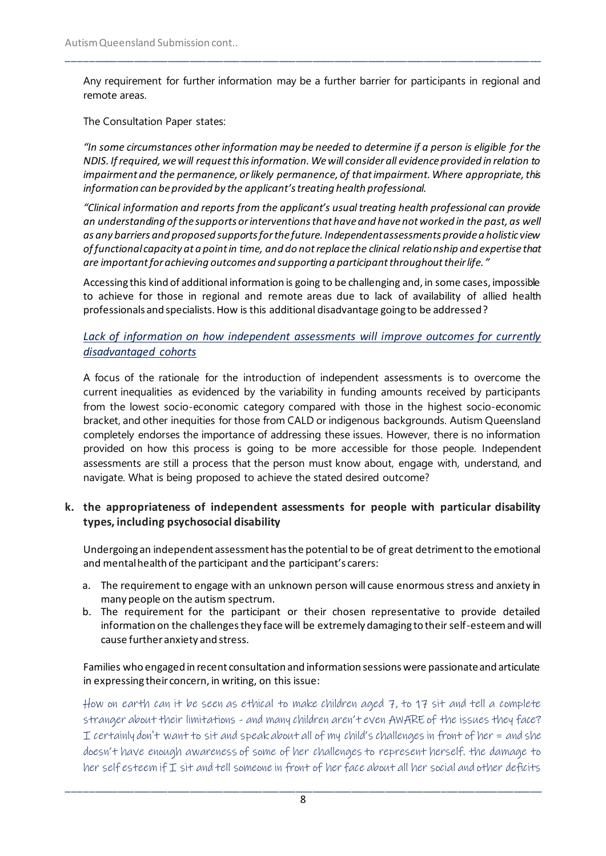Any requirement for further information may be a further barrier for participants in regional and remote areas.

\_\_\_\_\_\_\_\_\_\_\_\_\_\_\_\_\_\_\_\_\_\_\_\_\_\_\_\_\_\_\_\_\_\_\_\_\_\_\_\_\_\_\_\_\_\_\_\_\_\_\_\_\_\_\_\_\_\_\_\_\_\_\_\_\_\_\_\_\_\_\_\_\_\_\_\_\_\_\_\_\_\_\_\_\_

The Consultation Paper states:

*"In some circumstances other information may be needed to determine if a person is eligible for the NDIS. If required, we will request this information. We will consider all evidence provided in relation to impairment and the permanence, or likely permanence, of that impairment. Where appropriate, this information can be provided by the applicant's treating health professional.* 

*"Clinical information and reports from the applicant's usual treating health professional can provide an understanding of the supports or interventions that have and have not worked in the past, as well as any barriers and proposed supports for the future. Independent assessments provide a holistic view of functional capacity at a point in time, and do not replace the clinical relationship and expertise that are important for achieving outcomes and supporting a participant throughout their life. "*

Accessing this kind of additional information is going to be challenging and, in some cases, impossible to achieve for those in regional and remote areas due to lack of availability of allied health professionals and specialists. How is this additional disadvantage going to be addressed?

# *Lack of information on how independent assessments will improve outcomes for currently disadvantaged cohorts*

A focus of the rationale for the introduction of independent assessments is to overcome the current inequalities as evidenced by the variability in funding amounts received by participants from the lowest socio-economic category compared with those in the highest socio-economic bracket, and other inequities for those from CALD or indigenous backgrounds. Autism Queensland completely endorses the importance of addressing these issues. However, there is no information provided on how this process is going to be more accessible for those people. Independent assessments are still a process that the person must know about, engage with, understand, and navigate. What is being proposed to achieve the stated desired outcome?

# **k. the appropriateness of independent assessments for people with particular disability types, including psychosocial disability**

Undergoing an independent assessment has the potential to be of great detriment to the emotional and mental health of the participant and the participant's carers:

- a. The requirement to engage with an unknown person will cause enormous stress and anxiety in many people on the autism spectrum.
- b. The requirement for the participant or their chosen representative to provide detailed information on the challenges they face will be extremely damaging to their self-esteem and will cause further anxiety and stress.

#### Families who engaged in recent consultation and information sessions were passionate and articulate in expressing their concern, in writing, on this issue:

How on earth can it be seen as ethical to make children aged 7, to 17 sit and tell a complete stranger about their limitations - and many children aren't even AWARE of the issues they face? I certainly don't want to sit and speak about all of my child's challenges in front of her = and she doesn't have enough awareness of some of her challenges to represent herself. the damage to her self esteem if I sit and tell someone in front of her face about all her social and other deficits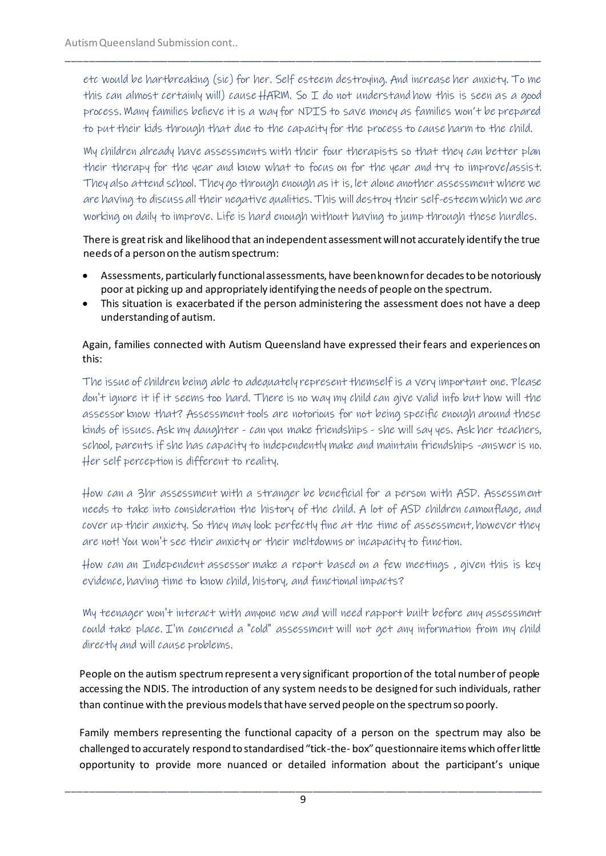etc would be hartbreaking (sic) for her. Self esteem destroying. And increase her anxiety. To me this can almost certainly will) cause HARM. So I do not understand how this is seen as a good process. Many families believe it is a way for NDIS to save money as families won't be prepared to put their kids through that due to the capacity for the process to cause harm to the child.

\_\_\_\_\_\_\_\_\_\_\_\_\_\_\_\_\_\_\_\_\_\_\_\_\_\_\_\_\_\_\_\_\_\_\_\_\_\_\_\_\_\_\_\_\_\_\_\_\_\_\_\_\_\_\_\_\_\_\_\_\_\_\_\_\_\_\_\_\_\_\_\_\_\_\_\_\_\_\_\_\_\_\_\_\_

My children already have assessments with their four therapists so that they can better plan their therapy for the year and know what to focus on for the year and try to improve/assist. They also attend school. They go through enough as it is, let alone another assessment where we are having to discuss all their negative qualities. This will destroy their self-esteem which we are working on daily to improve. Life is hard enough without having to jump through these hurdles.

There is great risk and likelihood that an independent assessment will not accurately identify the true needs of a person on the autism spectrum:

- Assessments, particularly functional assessments, have been known for decades to be notoriously poor at picking up and appropriately identifying the needs of people on the spectrum.
- This situation is exacerbated if the person administering the assessment does not have a deep understanding of autism.

# Again, families connected with Autism Queensland have expressed their fears and experiences on this:

The issue of children being able to adequately represent themself is a very important one. Please don't ignore it if it seems too hard. There is no way my child can give valid info but how will the assessor know that? Assessment tools are notorious for not being specific enough around these kinds of issues. Ask my daughter - can you make friendships - she will say yes. Ask her teachers, school, parents if she has capacity to independently make and maintain friendships -answer is no. Her self perception is different to reality.

How can a 3hr assessment with a stranger be beneficial for a person with ASD. Assessment needs to take into consideration the history of the child. A lot of ASD children camouflage, and cover up their anxiety. So they may look perfectly fine at the time of assessment, however they are not! You won't see their anxiety or their meltdowns or incapacity to function.

How can an Independent assessor make a report based on a few meetings , given this is key evidence, having time to know child, history, and functional impacts?

My teenager won't interact with anyone new and will need rapport built before any assessment could take place. I'm concerned a "cold" assessment will not get any information from my child directly and will cause problems.

People on the autism spectrum represent a very significant proportion of the total number of people accessing the NDIS. The introduction of any system needs to be designed for such individuals, rather than continue with the previous models that have served people on the spectrum so poorly.

Family members representing the functional capacity of a person on the spectrum may also be challenged to accurately respond to standardised "tick-the- box" questionnaire items which offer little opportunity to provide more nuanced or detailed information about the participant's unique